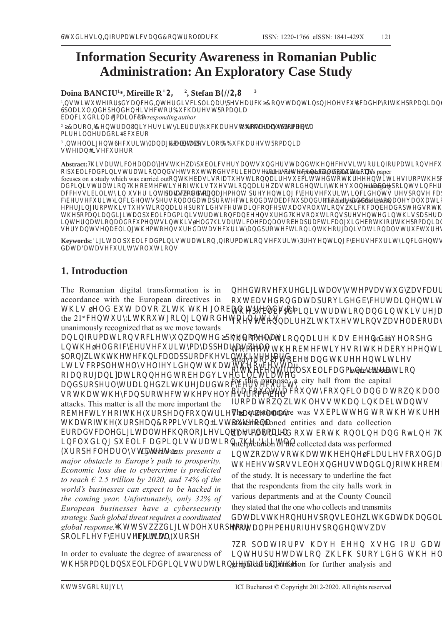# **Information Security Awareness in Romanian Public Administration: An Exploratory Case Study**

**Doina BANCIU<sup>1</sup>\*, Mireille R2,** <sup>2</sup>, Stefan B<sub> $2,8$ </sub> <sup>1</sup>VXIRGFGGVFSO5VFKRVOVFXFGPRIK5RP6FVV 6SOXOGSGVFRXFKV5RP EFXGRPOFRP *Corresponding author* <sup>2</sup> ROO**V**EXFKVRX6 POOGREFXER <sup>3</sup> OO6FX065/ **ORVOR** XFKV5RP VIVFXR Abstract:7K**LVDEQWA\\$KOMDQWGHARUQ\UPDKQXWMQDQ**<br>RISKE**DEXDEQWWWUEHMMIWKQDWWQ** with a view to protecting digital data. This paper focuses on a study which was carried outRKEVVRITXVRVXEPGRKVIRPK5RP3XEOF  $\textsc{GPVR} \texttt{R}\texttt{R}\texttt{E}\texttt{F}\texttt{R}\texttt{I}\texttt{K}\texttt{V}\texttt{Y}\texttt{R}\texttt{G}\texttt{I}\texttt{K}\texttt{XO}\texttt{E}\texttt{O}\texttt{S}\texttt{R}\texttt{V}\texttt{F}\texttt{V}\texttt{X}\texttt{F}\texttt{K}\texttt{V}$ FFVVEO XV IF GV SVVRG PP S FEVFX FGV VSRV FSF R FEVFXFGVSVROGSRFRGEFNXSGFRGSVROOXR The analysis of the results PIRPKVTXVRSRGVFFRFSXOVROXRVKFKFEGRSGVRKIRPRVFX K5RPGOSXEOFGPVRFEVXGKVROXRVSVGKVSSEVGRKOVVRI ROGRFXPVKVOGKVFOFOVRESFFOXGERKIRK5RPGFVRPNVGFO VVEOKPRVXGVFXGSRFRKRVROVXFXVRISXEOFGPVR Keywords: **DNDDBDDKQRUPDKANXUDEHUNDOURFBHKQQ** 

# **1. Introduction**

**GDDDWNWMWW** 

The Romanian digital transformation is in accordance with the European directives in KV OG EX OVR KK OREO GV RI the  $21$ <sup>st</sup> $FX:KRXRR$ GOV unanimously recognized that as we move towards IRPR VRFXGSKRP KOGRIFEVFXPSSVOO ORKKFKFOSSRFKVKVG VFRPSOOVOIGKKRvFVu RIRRGREGVGG GSRSOGKGRFEVFX VRKKFSRFKPVOVIRPFE attacks. This matter is all the more important the REFRIKXRSFRXVVOOV KRIKXRSRPPVVRVRXVR ERGVFOGOFKRORVGRP FOXG SXEOF GPVRK O

 $XRSFOOVV$  *Cyberthreats presents a major obstacle to Europe's path to prosperity. Economic loss due to cybercrime is predicted to reach*  $\epsilon$  2.5 *trillion by 2020, and 74% of the world's businesses can expect to be hacked in the coming year. Unfortunately, only 32% of European businesses have a cybersecurity strategy. Such global threat requires a coordinated*  global response.<sup>*MWSVGLJLWDOURSRUJ*</sup> *SROLFLHVF\EHUVHFXULW\'LJLWDO(XURSH*

In order to evaluate the degree of awareness of K5RPSXEOFGPVRGK

GRVFXGOVVPVVXGVFG RXEVGRGSRGGEFVRI K3XEOF GPVR GKVG TXVRKTXVRVVOERG

**K** TXVR KVE GORSG so as RPKREFVRIKERPRG studyIRP2FRE st GKV RIKFOSXEOFGPVR were chosen for this purpose: a city hall from the capital RIFRX FRX FRXFOG R KOO IRPRKOVVK KEV The questionnaire was  $VXEPG R K K$ aforementioned entities and data collection VFGRX ERK ROGRWK interpretation of the collected data was performed RVVRKKEFVFRXOG KEVSRVVEOXGVGRIKREFV of the study. It is necessary to underline the fact that the respondents from the city halls work in various departments and at the County Council they stated that the one who collects and transmits GVKRVSRVEOKGKGOK ROPPERIVSRGVV

R SOIRPV K E XVG IR G SR KFK SRGG K ORTX graphical information for further analysis and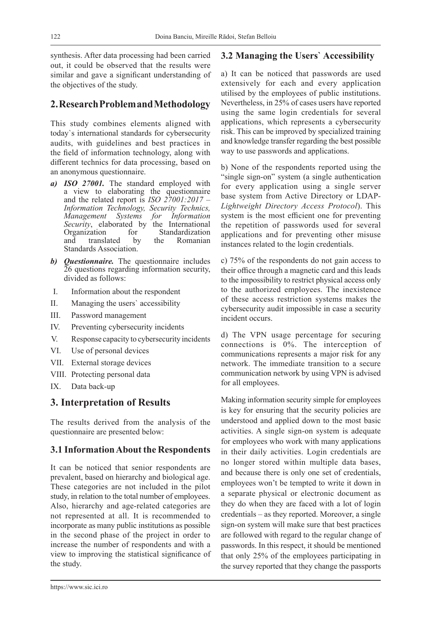synthesis. After data processing had been carried out, it could be observed that the results were similar and gave a significant understanding of the objectives of the study.

# **2. Research Problem and Methodology**

This study combines elements aligned with today`s international standards for cybersecurity audits, with guidelines and best practices in the field of information technology, along with different technics for data processing, based on an anonymous questionnaire.

- *a) ISO 27001.* The standard employed with a view to elaborating the questionnaire and the related report is *ISO 27001:2017 – Information Technology, Security Technics, Management Systems for Information Security*, elaborated by the International Organization for Standardization and translated by the Romanian Standards Association.
- *b) Questionnaire.* The questionnaire includes 26 questions regarding information security, divided as follows:
- I. Information about the respondent
- II. Managing the users` accessibility
- III. Password management
- IV. Preventing cybersecurity incidents
- V. Response capacity to cybersecurity incidents
- VI. Use of personal devices
- VII. External storage devices
- VIII. Protecting personal data
- IX. Data back-up

# **3. Interpretation of Results**

The results derived from the analysis of the questionnaire are presented below:

### **3.1 Information About the Respondents**

It can be noticed that senior respondents are prevalent, based on hierarchy and biological age. These categories are not included in the pilot study, in relation to the total number of employees. Also, hierarchy and age-related categories are not represented at all. It is recommended to incorporate as many public institutions as possible in the second phase of the project in order to increase the number of respondents and with a view to improving the statistical significance of the study.

# **3.2 Managing the Users` Accessibility**

a) It can be noticed that passwords are used extensively for each and every application utilised by the employees of public institutions. Nevertheless, in 25% of cases users have reported using the same login credentials for several applications, which represents a cybersecurity risk. This can be improved by specialized training and knowledge transfer regarding the best possible way to use passwords and applications.

b) None of the respondents reported using the "single sign-on" system (a single authentication for every application using a single server base system from Active Directory or LDAP*-Lightweight Directory Access Protocol*). This system is the most efficient one for preventing the repetition of passwords used for several applications and for preventing other misuse instances related to the login credentials.

c) 75% of the respondents do not gain access to their office through a magnetic card and this leads to the impossibility to restrict physical access only to the authorized employees. The inexistence of these access restriction systems makes the cybersecurity audit impossible in case a security incident occurs.

d) The VPN usage percentage for securing connections is 0%. The interception of communications represents a major risk for any network. The immediate transition to a secure communication network by using VPN is advised for all employees.

Making information security simple for employees is key for ensuring that the security policies are understood and applied down to the most basic activities. A single sign-on system is adequate for employees who work with many applications in their daily activities. Login credentials are no longer stored within multiple data bases, and because there is only one set of credentials, employees won't be tempted to write it down in a separate physical or electronic document as they do when they are faced with a lot of login credentials – as they reported. Moreover, a single sign-on system will make sure that best practices are followed with regard to the regular change of passwords. In this respect, it should be mentioned that only 25% of the employees participating in the survey reported that they change the passports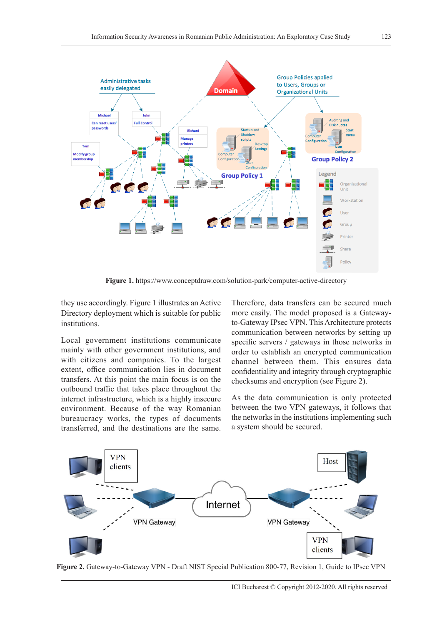

**Figure 1.** https://www.conceptdraw.com/solution-park/computer-active-directory

they use accordingly. Figure 1 illustrates an Active Directory deployment which is suitable for public institutions.

Local government institutions communicate mainly with other government institutions, and with citizens and companies. To the largest extent, office communication lies in document transfers. At this point the main focus is on the outbound traffic that takes place throughout the internet infrastructure, which is a highly insecure environment. Because of the way Romanian bureaucracy works, the types of documents transferred, and the destinations are the same.

Therefore, data transfers can be secured much more easily. The model proposed is a Gatewayto-Gateway IPsec VPN. This Architecture protects communication between networks by setting up specific servers / gateways in those networks in order to establish an encrypted communication channel between them. This ensures data confidentiality and integrity through cryptographic checksums and encryption (see Figure 2).

As the data communication is only protected between the two VPN gateways, it follows that the networks in the institutions implementing such a system should be secured.



**Figure 2.** Gateway-to-Gateway VPN - Draft NIST Special Publication 800-77, Revision 1, Guide to IPsec VPN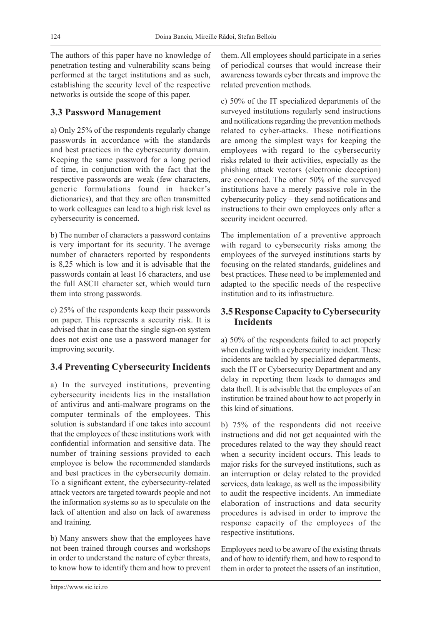The authors of this paper have no knowledge of penetration testing and vulnerability scans being performed at the target institutions and as such, establishing the security level of the respective networks is outside the scope of this paper.

# **3.3 Password Management**

a) Only 25% of the respondents regularly change passwords in accordance with the standards and best practices in the cybersecurity domain. Keeping the same password for a long period of time, in conjunction with the fact that the respective passwords are weak (few characters, generic formulations found in hacker's dictionaries), and that they are often transmitted to work colleagues can lead to a high risk level as cybersecurity is concerned.

b) The number of characters a password contains is very important for its security. The average number of characters reported by respondents is 8,25 which is low and it is advisable that the passwords contain at least 16 characters, and use the full ASCII character set, which would turn them into strong passwords.

c) 25% of the respondents keep their passwords on paper. This represents a security risk. It is advised that in case that the single sign-on system does not exist one use a password manager for improving security.

# **3.4 Preventing Cybersecurity Incidents**

a) In the surveyed institutions, preventing cybersecurity incidents lies in the installation of antivirus and anti-malware programs on the computer terminals of the employees. This solution is substandard if one takes into account that the employees of these institutions work with confidential information and sensitive data. The number of training sessions provided to each employee is below the recommended standards and best practices in the cybersecurity domain. To a significant extent, the cybersecurity-related attack vectors are targeted towards people and not the information systems so as to speculate on the lack of attention and also on lack of awareness and training.

b) Many answers show that the employees have not been trained through courses and workshops in order to understand the nature of cyber threats, to know how to identify them and how to prevent them. All employees should participate in a series of periodical courses that would increase their awareness towards cyber threats and improve the related prevention methods.

c) 50% of the IT specialized departments of the surveyed institutions regularly send instructions and notifications regarding the prevention methods related to cyber-attacks. These notifications are among the simplest ways for keeping the employees with regard to the cybersecurity risks related to their activities, especially as the phishing attack vectors (electronic deception) are concerned. The other 50% of the surveyed institutions have a merely passive role in the cybersecurity policy – they send notifications and instructions to their own employees only after a security incident occurred.

The implementation of a preventive approach with regard to cybersecurity risks among the employees of the surveyed institutions starts by focusing on the related standards, guidelines and best practices. These need to be implemented and adapted to the specific needs of the respective institution and to its infrastructure.

#### **3.5 Response Capacity to Cybersecurity Incidents**

a) 50% of the respondents failed to act properly when dealing with a cybersecurity incident. These incidents are tackled by specialized departments, such the IT or Cybersecurity Department and any delay in reporting them leads to damages and data theft. It is advisable that the employees of an institution be trained about how to act properly in this kind of situations.

b) 75% of the respondents did not receive instructions and did not get acquainted with the procedures related to the way they should react when a security incident occurs. This leads to major risks for the surveyed institutions, such as an interruption or delay related to the provided services, data leakage, as well as the impossibility to audit the respective incidents. An immediate elaboration of instructions and data security procedures is advised in order to improve the response capacity of the employees of the respective institutions.

Employees need to be aware of the existing threats and of how to identify them, and how to respond to them in order to protect the assets of an institution,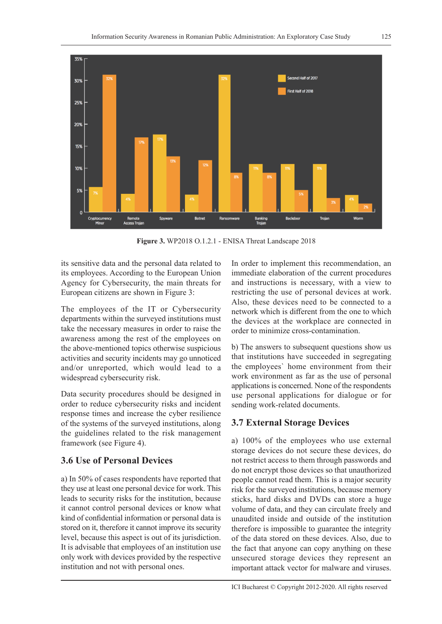

**Figure 3.** WP2018 O.1.2.1 - ENISA Threat Landscape 2018

its sensitive data and the personal data related to its employees. According to the European Union Agency for Cybersecurity, the main threats for European citizens are shown in Figure 3:

The employees of the IT or Cybersecurity departments within the surveyed institutions must take the necessary measures in order to raise the awareness among the rest of the employees on the above-mentioned topics otherwise suspicious activities and security incidents may go unnoticed and/or unreported, which would lead to a widespread cybersecurity risk.

Data security procedures should be designed in order to reduce cybersecurity risks and incident response times and increase the cyber resilience of the systems of the surveyed institutions, along the guidelines related to the risk management framework (see Figure 4).

### **3.6 Use of Personal Devices**

a) In 50% of cases respondents have reported that they use at least one personal device for work. This leads to security risks for the institution, because it cannot control personal devices or know what kind of confidential information or personal data is stored on it, therefore it cannot improve its security level, because this aspect is out of its jurisdiction. It is advisable that employees of an institution use only work with devices provided by the respective institution and not with personal ones.

In order to implement this recommendation, an immediate elaboration of the current procedures and instructions is necessary, with a view to restricting the use of personal devices at work. Also, these devices need to be connected to a network which is different from the one to which the devices at the workplace are connected in order to minimize cross-contamination.

b) The answers to subsequent questions show us that institutions have succeeded in segregating the employees` home environment from their work environment as far as the use of personal applications is concerned. None of the respondents use personal applications for dialogue or for sending work-related documents.

# **3.7 External Storage Devices**

a) 100% of the employees who use external storage devices do not secure these devices, do not restrict access to them through passwords and do not encrypt those devices so that unauthorized people cannot read them. This is a major security risk for the surveyed institutions, because memory sticks, hard disks and DVDs can store a huge volume of data, and they can circulate freely and unaudited inside and outside of the institution therefore is impossible to guarantee the integrity of the data stored on these devices. Also, due to the fact that anyone can copy anything on these unsecured storage devices they represent an important attack vector for malware and viruses.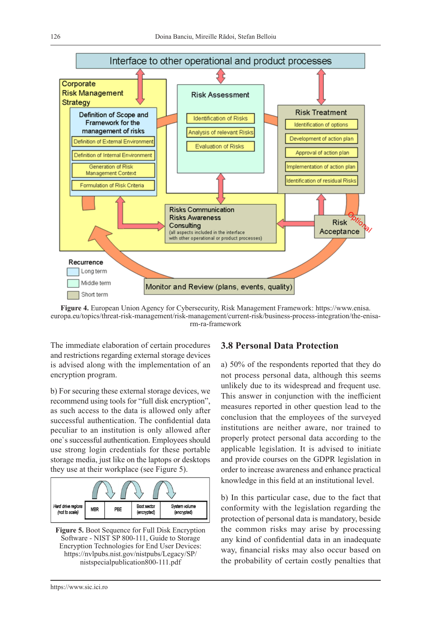

**Figure 4.** European Union Agency for Cybersecurity, Risk Management Framework: https://www.enisa. europa.eu/topics/threat-risk-management/risk-management/current-risk/business-process-integration/the-enisarm-ra-framework

The immediate elaboration of certain procedures and restrictions regarding external storage devices is advised along with the implementation of an encryption program.

b) For securing these external storage devices, we recommend using tools for "full disk encryption", as such access to the data is allowed only after successful authentication. The confidential data peculiar to an institution is only allowed after one`s successful authentication. Employees should use strong login credentials for these portable storage media, just like on the laptops or desktops they use at their workplace (see Figure 5).



**Figure 5.** Boot Sequence for Full Disk Encryption Software - NIST SP 800-111, Guide to Storage Encryption Technologies for End User Devices: https://nvlpubs.nist.gov/nistpubs/Legacy/SP/ nistspecialpublication800-111.pdf

#### **3.8 Personal Data Protection**

a) 50% of the respondents reported that they do not process personal data, although this seems unlikely due to its widespread and frequent use. This answer in conjunction with the inefficient measures reported in other question lead to the conclusion that the employees of the surveyed institutions are neither aware, nor trained to properly protect personal data according to the applicable legislation. It is advised to initiate and provide courses on the GDPR legislation in order to increase awareness and enhance practical knowledge in this field at an institutional level.

b) In this particular case, due to the fact that conformity with the legislation regarding the protection of personal data is mandatory, beside the common risks may arise by processing any kind of confidential data in an inadequate way, financial risks may also occur based on the probability of certain costly penalties that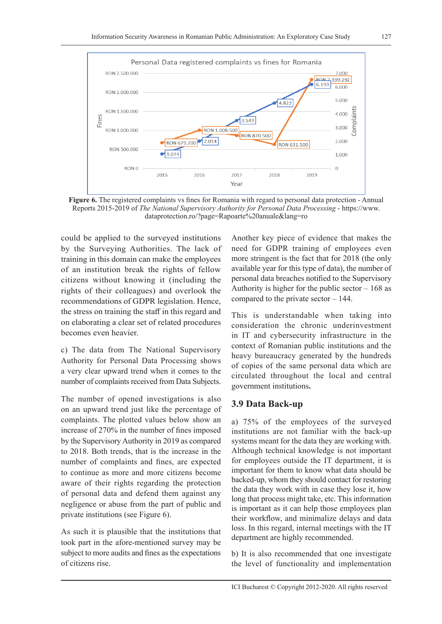

**Figure 6.** The registered complaints vs fines for Romania with regard to personal data protection - Annual Reports 2015-2019 of *The National Supervisory Authority for Personal Data Processing* - https://www. dataprotection.ro/?page=Rapoarte%20anuale&lang=ro

could be applied to the surveyed institutions by the Surveying Authorities. The lack of training in this domain can make the employees of an institution break the rights of fellow citizens without knowing it (including the rights of their colleagues) and overlook the recommendations of GDPR legislation. Hence, the stress on training the staff in this regard and on elaborating a clear set of related procedures becomes even heavier.

c) The data from The National Supervisory Authority for Personal Data Processing shows a very clear upward trend when it comes to the number of complaints received from Data Subjects.

The number of opened investigations is also on an upward trend just like the percentage of complaints. The plotted values below show an increase of 270% in the number of fines imposed by the Supervisory Authority in 2019 as compared to 2018. Both trends, that is the increase in the number of complaints and fines, are expected to continue as more and more citizens become aware of their rights regarding the protection of personal data and defend them against any negligence or abuse from the part of public and private institutions (see Figure 6).

As such it is plausible that the institutions that took part in the afore-mentioned survey may be subject to more audits and fines as the expectations of citizens rise.

Another key piece of evidence that makes the need for GDPR training of employees even more stringent is the fact that for 2018 (the only available year for this type of data), the number of personal data breaches notified to the Supervisory Authority is higher for the public sector  $-168$  as compared to the private sector – 144.

This is understandable when taking into consideration the chronic underinvestment in IT and cybersecurity infrastructure in the context of Romanian public institutions and the heavy bureaucracy generated by the hundreds of copies of the same personal data which are circulated throughout the local and central government institutions**.**

#### **3.9 Data Back-up**

a) 75% of the employees of the surveyed institutions are not familiar with the back-up systems meant for the data they are working with. Although technical knowledge is not important for employees outside the IT department, it is important for them to know what data should be backed-up, whom they should contact for restoring the data they work with in case they lose it, how long that process might take, etc. This information is important as it can help those employees plan their workflow, and minimalize delays and data loss. In this regard, internal meetings with the IT department are highly recommended.

b) It is also recommended that one investigate the level of functionality and implementation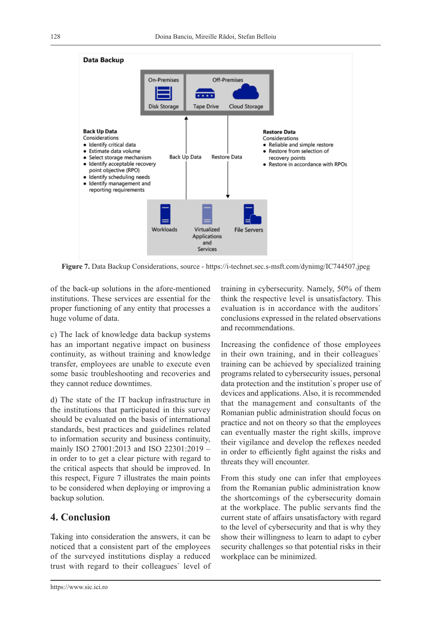

**Figure 7.** Data Backup Considerations, source - https://i-technet.sec.s-msft.com/dynimg/IC744507.jpeg

of the back-up solutions in the afore-mentioned institutions. These services are essential for the proper functioning of any entity that processes a huge volume of data.

c) The lack of knowledge data backup systems has an important negative impact on business continuity, as without training and knowledge transfer, employees are unable to execute even some basic troubleshooting and recoveries and they cannot reduce downtimes.

d) The state of the IT backup infrastructure in the institutions that participated in this survey should be evaluated on the basis of international standards, best practices and guidelines related to information security and business continuity, mainly ISO 27001:2013 and ISO 22301:2019 – in order to to get a clear picture with regard to the critical aspects that should be improved. In this respect, Figure 7 illustrates the main points to be considered when deploying or improving a backup solution.

# **4. Conclusion**

Taking into consideration the answers, it can be noticed that a consistent part of the employees of the surveyed institutions display a reduced trust with regard to their colleagues` level of training in cybersecurity. Namely, 50% of them think the respective level is unsatisfactory. This evaluation is in accordance with the auditors` conclusions expressed in the related observations and recommendations.

Increasing the confidence of those employees in their own training, and in their colleagues` training can be achieved by specialized training programs related to cybersecurity issues, personal data protection and the institution`s proper use of devices and applications. Also, it is recommended that the management and consultants of the Romanian public administration should focus on practice and not on theory so that the employees can eventually master the right skills, improve their vigilance and develop the reflexes needed in order to efficiently fight against the risks and threats they will encounter.

From this study one can infer that employees from the Romanian public administration know the shortcomings of the cybersecurity domain at the workplace. The public servants find the current state of affairs unsatisfactory with regard to the level of cybersecurity and that is why they show their willingness to learn to adapt to cyber security challenges so that potential risks in their workplace can be minimized.